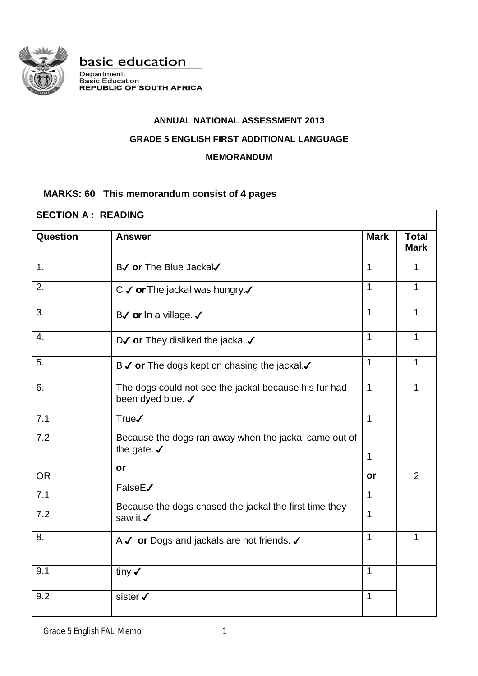

basic education

Department:<br>Basic Education<br>REPUBLIC OF SOUTH AFRICA

# **ANNUAL NATIONAL ASSESSMENT 2013**

### **GRADE 5 ENGLISH FIRST ADDITIONAL LANGUAGE**

#### **MEMORANDUM**

## **MARKS: 60 This memorandum consist of 4 pages**

| <b>SECTION A: READING</b> |                                                                                 |              |                |  |
|---------------------------|---------------------------------------------------------------------------------|--------------|----------------|--|
| <b>Question</b>           | <b>Answer</b>                                                                   |              |                |  |
| 1.                        | B√ or The Blue Jackal√                                                          | $\mathbf{1}$ | 1              |  |
| 2.                        | C √ or The jackal was hungry.                                                   | 1            | 1              |  |
| 3.                        | B√ or In a village. √                                                           | 1            | 1              |  |
| $\overline{4}$ .          | D $\checkmark$ or They disliked the jackal. $\checkmark$                        | 1            | 1              |  |
| 5.                        | B √ or The dogs kept on chasing the jackal.                                     | 1            | 1              |  |
| 6.                        | The dogs could not see the jackal because his fur had<br>been dyed blue. √      | 1            |                |  |
| 7.1                       | <b>True√</b>                                                                    | 1            |                |  |
| 7.2                       | Because the dogs ran away when the jackal came out of<br>the gate. $\checkmark$ |              |                |  |
|                           | or                                                                              | 1            |                |  |
| <b>OR</b>                 | FalseE√                                                                         | or           | $\overline{2}$ |  |
| 7.1                       |                                                                                 | 1            |                |  |
| 7.2                       | Because the dogs chased the jackal the first time they<br>saw it.√              | 1            |                |  |
| 8.                        | A √ or Dogs and jackals are not friends. √                                      | 1            |                |  |
| 9.1                       | tiny $\checkmark$                                                               | 1            |                |  |
| 9.2                       | sister √                                                                        | 1            |                |  |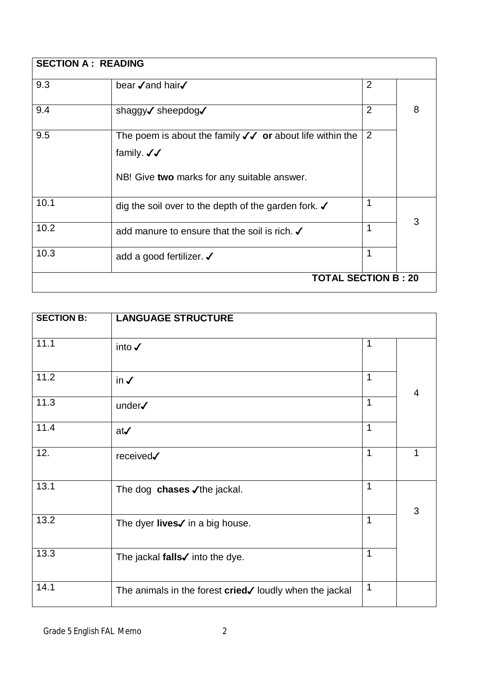| <b>SECTION A: READING</b> |                                                                                                                                                            |                |   |
|---------------------------|------------------------------------------------------------------------------------------------------------------------------------------------------------|----------------|---|
| 9.3                       | bear √and hair√                                                                                                                                            | $\overline{2}$ |   |
| 9.4                       | shaggy√ sheepdog√                                                                                                                                          | $\overline{2}$ | 8 |
| 9.5                       | The poem is about the family $\sqrt{\checkmark}$ or about life within the<br>family. $\checkmark\checkmark$<br>NB! Give two marks for any suitable answer. | $\overline{2}$ |   |
| 10.1                      | dig the soil over to the depth of the garden fork. $\checkmark$                                                                                            | 1              | 3 |
| 10.2                      | add manure to ensure that the soil is rich. √                                                                                                              | 1              |   |
| 10.3                      | add a good fertilizer. J                                                                                                                                   | 1              |   |
|                           | <b>TOTAL SECTION B: 20</b>                                                                                                                                 |                |   |

| <b>SECTION B:</b> | <b>LANGUAGE STRUCTURE</b>                                          |              |                |
|-------------------|--------------------------------------------------------------------|--------------|----------------|
| 11.1              | into $\checkmark$                                                  | $\mathbf 1$  |                |
| 11.2              | in $\checkmark$                                                    | 1            | $\overline{4}$ |
| 11.3              | under√                                                             | $\mathbf{1}$ |                |
| 11.4              | $at\checkmark$                                                     | $\mathbf 1$  |                |
| 12.               | received√                                                          | 1            | 1              |
| 13.1              | The dog chases √the jackal.                                        | $\mathbf 1$  | 3              |
| 13.2              | The dyer lives√ in a big house.                                    | $\mathbf{1}$ |                |
| 13.3              | The jackal falls $\checkmark$ into the dye.                        | $\mathbf{1}$ |                |
| 14.1              | The animals in the forest $cried\checkmark$ loudly when the jackal | $\mathbf 1$  |                |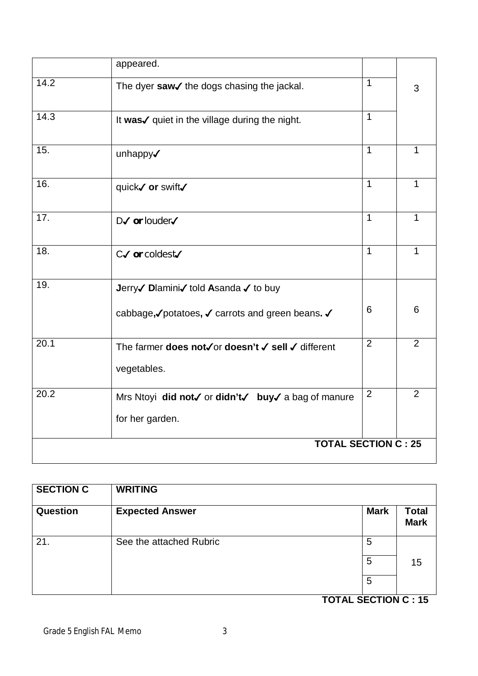|      | appeared.                                          |                |                |
|------|----------------------------------------------------|----------------|----------------|
| 14.2 | The dyer saw√ the dogs chasing the jackal.         | $\mathbf{1}$   | 3              |
| 14.3 | It was√ quiet in the village during the night.     | $\overline{1}$ |                |
| 15.  | unhappy√                                           | $\mathbf{1}$   | 1              |
| 16.  | quick√ or swift√                                   | $\mathbf{1}$   | 1              |
| 17.  | $D\checkmark$ or louder $\checkmark$               | $\mathbf{1}$   | 1              |
| 18.  | $C\checkmark$ or coldest $\checkmark$              | $\mathbf{1}$   | 1              |
| 19.  | Jerry√ Dlamini√ told Asanda √ to buy               |                |                |
|      | cabbage,√potatoes, √ carrots and green beans. √    | 6              | 6              |
| 20.1 | The farmer does not√or doesn't √ sell √ different  | $\overline{2}$ | 2              |
|      | vegetables.                                        |                |                |
| 20.2 | Mrs Ntoyi did not√ or didn't√ buy√ a bag of manure | $\overline{2}$ | $\overline{2}$ |
|      | for her garden.                                    |                |                |
|      | <b>TOTAL SECTION C: 25</b>                         |                |                |

| <b>SECTION C</b> | <b>WRITING</b>          |             |                             |
|------------------|-------------------------|-------------|-----------------------------|
| Question         | <b>Expected Answer</b>  | <b>Mark</b> | <b>Total</b><br><b>Mark</b> |
| 21.              | See the attached Rubric | 5           |                             |
|                  |                         | 5           | 15                          |
|                  |                         | 5           |                             |

 **TOTAL SECTION C : 15**